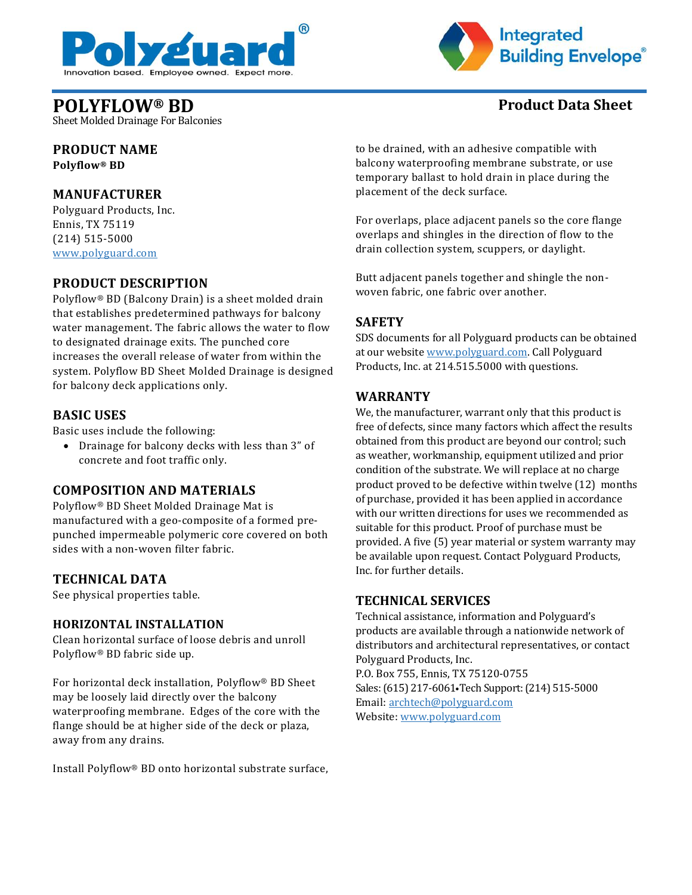



## **POLYFLOW® BD Product Data Sheet**

Sheet Molded Drainage For Balconies

# **PRODUCT NAME**

**Polyflow® BD**

#### **MANUFACTURER**

Polyguard Products, Inc. Ennis, TX 75119 (214) 515-5000 [www.polyguard.com](http://www.polyguard.com/)

#### **PRODUCT DESCRIPTION**

Polyflow® BD (Balcony Drain) is a sheet molded drain that establishes predetermined pathways for balcony water management. The fabric allows the water to flow to designated drainage exits. The punched core increases the overall release of water from within the system. Polyflow BD Sheet Molded Drainage is designed for balcony deck applications only.

#### **BASIC USES**

Basic uses include the following:

• Drainage for balcony decks with less than 3" of concrete and foot traffic only.

### **COMPOSITION AND MATERIALS**

Polyflow® BD Sheet Molded Drainage Mat is manufactured with a geo-composite of a formed prepunched impermeable polymeric core covered on both sides with a non-woven filter fabric.

#### **TECHNICAL DATA**

See physical properties table.

#### **HORIZONTAL INSTALLATION**

Clean horizontal surface of loose debris and unroll Polyflow® BD fabric side up.

For horizontal deck installation, Polyflow® BD Sheet may be loosely laid directly over the balcony waterproofing membrane. Edges of the core with the flange should be at higher side of the deck or plaza, away from any drains.

Install Polyflow® BD onto horizontal substrate surface,

to be drained, with an adhesive compatible with balcony waterproofing membrane substrate, or use temporary ballast to hold drain in place during the placement of the deck surface.

For overlaps, place adjacent panels so the core flange overlaps and shingles in the direction of flow to the drain collection system, scuppers, or daylight.

Butt adjacent panels together and shingle the nonwoven fabric, one fabric over another.

#### **SAFETY**

SDS documents for all Polyguard products can be obtained at our website [www.polyguard.com.](http://www.polyguard.com/) Call Polyguard Products, Inc. at 214.515.5000 with questions.

#### **WARRANTY**

We, the manufacturer, warrant only that this product is free of defects, since many factors which affect the results obtained from this product are beyond our control; such as weather, workmanship, equipment utilized and prior condition of the substrate. We will replace at no charge product proved to be defective within twelve (12) months of purchase, provided it has been applied in accordance with our written directions for uses we recommended as suitable for this product. Proof of purchase must be provided. A five (5) year material or system warranty may be available upon request. Contact Polyguard Products, Inc. for further details.

#### **TECHNICAL SERVICES**

Technical assistance, information and Polyguard's products are available through a nationwide network of distributors and architectural representatives, or contact Polyguard Products, Inc. P.O. Box 755, Ennis, TX 75120-0755 Sales: (615) 217-6061•Tech Support: (214) 515-5000 Email: [archtech@polyguard.com](mailto:archtech@polyguard.com) Website: [www.polyguard.com](http://www.polyguard.com/)